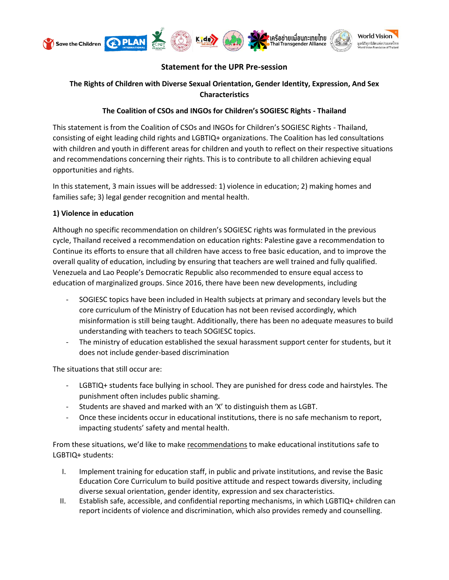

# **Statement for the UPR Pre-session**

## **The Rights of Children with Diverse Sexual Orientation, Gender Identity, Expression, And Sex Characteristics**

## **The Coalition of CSOs and INGOs for Children's SOGIESC Rights - Thailand**

This statement is from the Coalition of CSOs and INGOs for Children's SOGIESC Rights - Thailand, consisting of eight leading child rights and LGBTIQ+ organizations. The Coalition has led consultations with children and youth in different areas for children and youth to reflect on their respective situations and recommendations concerning their rights. This is to contribute to all children achieving equal opportunities and rights.

In this statement, 3 main issues will be addressed: 1) violence in education; 2) making homes and families safe; 3) legal gender recognition and mental health.

### **1) Violence in education**

Although no specific recommendation on children's SOGIESC rights was formulated in the previous cycle, Thailand received a recommendation on education rights: Palestine gave a recommendation to Continue its efforts to ensure that all children have access to free basic education, and to improve the overall quality of education, including by ensuring that teachers are well trained and fully qualified. Venezuela and Lao People's Democratic Republic also recommended to ensure equal access to education of marginalized groups. Since 2016, there have been new developments, including

- SOGIESC topics have been included in Health subjects at primary and secondary levels but the core curriculum of the Ministry of Education has not been revised accordingly, which misinformation is still being taught. Additionally, there has been no adequate measures to build understanding with teachers to teach SOGIESC topics.
- The ministry of education established the sexual harassment support center for students, but it does not include gender-based discrimination

The situations that still occur are:

- LGBTIQ+ students face bullying in school. They are punished for dress code and hairstyles. The punishment often includes public shaming.
- Students are shaved and marked with an 'X' to distinguish them as LGBT.
- Once these incidents occur in educational institutions, there is no safe mechanism to report, impacting students' safety and mental health.

From these situations, we'd like to make recommendations to make educational institutions safe to LGBTIQ+ students:

- I. Implement training for education staff, in public and private institutions, and revise the Basic Education Core Curriculum to build positive attitude and respect towards diversity, including diverse sexual orientation, gender identity, expression and sex characteristics.
- II. Establish safe, accessible, and confidential reporting mechanisms, in which LGBTIQ+ children can report incidents of violence and discrimination, which also provides remedy and counselling.